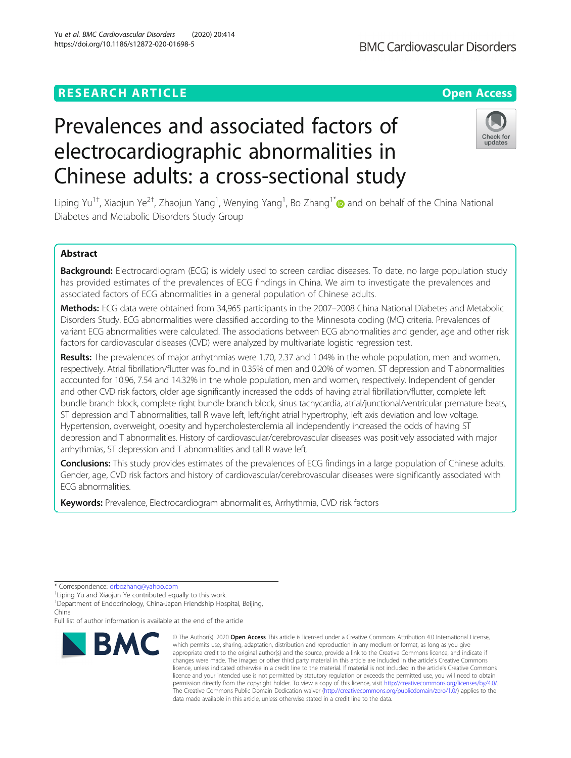# **RESEARCH ARTICLE Example 2014 12:30 The Contract of Contract ACCESS**

# Prevalences and associated factors of electrocardiographic abnormalities in Chinese adults: a cross-sectional study

Liping Yu<sup>1†</sup>, Xiaojun Ye<sup>2†</sup>, Zhaojun Yang<sup>1</sup>, Wenying Yang<sup>1</sup>, Bo Zhang<sup>1\*</sup>@ and on behalf of the China National Diabetes and Metabolic Disorders Study Group

# Abstract

Background: Electrocardiogram (ECG) is widely used to screen cardiac diseases. To date, no large population study has provided estimates of the prevalences of ECG findings in China. We aim to investigate the prevalences and associated factors of ECG abnormalities in a general population of Chinese adults.

Methods: ECG data were obtained from 34,965 participants in the 2007–2008 China National Diabetes and Metabolic Disorders Study. ECG abnormalities were classified according to the Minnesota coding (MC) criteria. Prevalences of variant ECG abnormalities were calculated. The associations between ECG abnormalities and gender, age and other risk factors for cardiovascular diseases (CVD) were analyzed by multivariate logistic regression test.

Results: The prevalences of major arrhythmias were 1.70, 2.37 and 1.04% in the whole population, men and women, respectively. Atrial fibrillation/flutter was found in 0.35% of men and 0.20% of women. ST depression and T abnormalities accounted for 10.96, 7.54 and 14.32% in the whole population, men and women, respectively. Independent of gender and other CVD risk factors, older age significantly increased the odds of having atrial fibrillation/flutter, complete left bundle branch block, complete right bundle branch block, sinus tachycardia, atrial/junctional/ventricular premature beats, ST depression and T abnormalities, tall R wave left, left/right atrial hypertrophy, left axis deviation and low voltage. Hypertension, overweight, obesity and hypercholesterolemia all independently increased the odds of having ST depression and T abnormalities. History of cardiovascular/cerebrovascular diseases was positively associated with major arrhythmias, ST depression and T abnormalities and tall R wave left.

Conclusions: This study provides estimates of the prevalences of ECG findings in a large population of Chinese adults. Gender, age, CVD risk factors and history of cardiovascular/cerebrovascular diseases were significantly associated with ECG abnormalities.

Keywords: Prevalence, Electrocardiogram abnormalities, Arrhythmia, CVD risk factors

**BMC** 

Full list of author information is available at the end of the article

#### © The Author(s), 2020 **Open Access** This article is licensed under a Creative Commons Attribution 4.0 International License, which permits use, sharing, adaptation, distribution and reproduction in any medium or format, as long as you give appropriate credit to the original author(s) and the source, provide a link to the Creative Commons licence, and indicate if changes were made. The images or other third party material in this article are included in the article's Creative Commons licence, unless indicated otherwise in a credit line to the material. If material is not included in the article's Creative Commons licence and your intended use is not permitted by statutory regulation or exceeds the permitted use, you will need to obtain permission directly from the copyright holder. To view a copy of this licence, visit [http://creativecommons.org/licenses/by/4.0/.](http://creativecommons.org/licenses/by/4.0/) The Creative Commons Public Domain Dedication waiver [\(http://creativecommons.org/publicdomain/zero/1.0/](http://creativecommons.org/publicdomain/zero/1.0/)) applies to the data made available in this article, unless otherwise stated in a credit line to the data.

Yu et al. BMC Cardiovascular Disorders (2020) 20:414 https://doi.org/10.1186/s12872-020-01698-5





<sup>\*</sup> Correspondence: [drbozhang@yahoo.com](mailto:drbozhang@yahoo.com) †

<sup>&</sup>lt;sup>+</sup>Liping Yu and Xiaojun Ye contributed equally to this work.

<sup>&</sup>lt;sup>1</sup>Department of Endocrinology, China-Japan Friendship Hospital, Beijing, China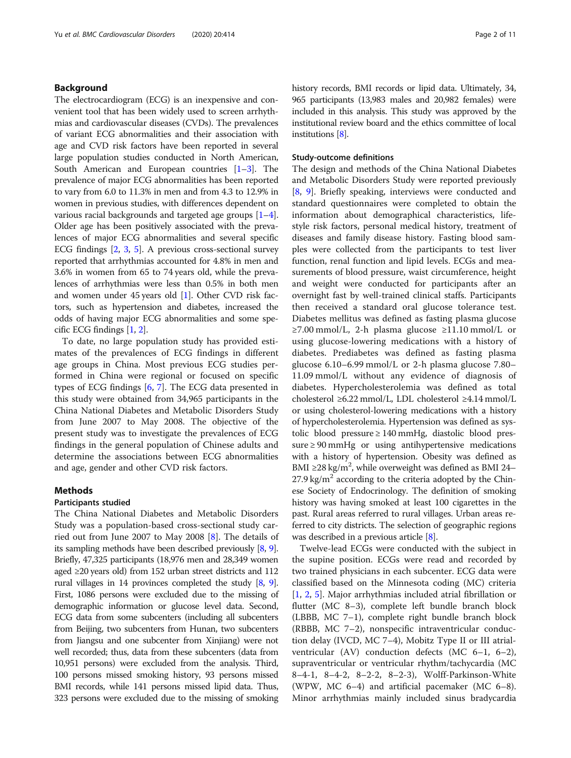# Background

The electrocardiogram (ECG) is an inexpensive and convenient tool that has been widely used to screen arrhythmias and cardiovascular diseases (CVDs). The prevalences of variant ECG abnormalities and their association with age and CVD risk factors have been reported in several large population studies conducted in North American, South American and European countries  $[1-3]$  $[1-3]$  $[1-3]$  $[1-3]$ . The prevalence of major ECG abnormalities has been reported to vary from 6.0 to 11.3% in men and from 4.3 to 12.9% in women in previous studies, with differences dependent on various racial backgrounds and targeted age groups [[1](#page-9-0)–[4](#page-9-0)]. Older age has been positively associated with the prevalences of major ECG abnormalities and several specific ECG findings [\[2](#page-9-0), [3](#page-9-0), [5\]](#page-9-0). A previous cross-sectional survey reported that arrhythmias accounted for 4.8% in men and 3.6% in women from 65 to 74 years old, while the prevalences of arrhythmias were less than 0.5% in both men and women under 45 years old  $[1]$  $[1]$ . Other CVD risk factors, such as hypertension and diabetes, increased the odds of having major ECG abnormalities and some specific ECG findings [\[1,](#page-9-0) [2](#page-9-0)].

To date, no large population study has provided estimates of the prevalences of ECG findings in different age groups in China. Most previous ECG studies performed in China were regional or focused on specific types of ECG findings [[6](#page-9-0), [7\]](#page-10-0). The ECG data presented in this study were obtained from 34,965 participants in the China National Diabetes and Metabolic Disorders Study from June 2007 to May 2008. The objective of the present study was to investigate the prevalences of ECG findings in the general population of Chinese adults and determine the associations between ECG abnormalities and age, gender and other CVD risk factors.

# Methods

#### Participants studied

The China National Diabetes and Metabolic Disorders Study was a population-based cross-sectional study carried out from June 2007 to May 2008 [[8\]](#page-10-0). The details of its sampling methods have been described previously [\[8,](#page-10-0) [9](#page-10-0)]. Briefly, 47,325 participants (18,976 men and 28,349 women aged ≥20 years old) from 152 urban street districts and 112 rural villages in 14 provinces completed the study [[8](#page-10-0), [9](#page-10-0)]. First, 1086 persons were excluded due to the missing of demographic information or glucose level data. Second, ECG data from some subcenters (including all subcenters from Beijing, two subcenters from Hunan, two subcenters from Jiangsu and one subcenter from Xinjiang) were not well recorded; thus, data from these subcenters (data from 10,951 persons) were excluded from the analysis. Third, 100 persons missed smoking history, 93 persons missed BMI records, while 141 persons missed lipid data. Thus, 323 persons were excluded due to the missing of smoking history records, BMI records or lipid data. Ultimately, 34, 965 participants (13,983 males and 20,982 females) were included in this analysis. This study was approved by the institutional review board and the ethics committee of local institutions [\[8\]](#page-10-0).

#### Study-outcome definitions

The design and methods of the China National Diabetes and Metabolic Disorders Study were reported previously [[8,](#page-10-0) [9](#page-10-0)]. Briefly speaking, interviews were conducted and standard questionnaires were completed to obtain the information about demographical characteristics, lifestyle risk factors, personal medical history, treatment of diseases and family disease history. Fasting blood samples were collected from the participants to test liver function, renal function and lipid levels. ECGs and measurements of blood pressure, waist circumference, height and weight were conducted for participants after an overnight fast by well-trained clinical staffs. Participants then received a standard oral glucose tolerance test. Diabetes mellitus was defined as fasting plasma glucose  $\geq$ 7.00 mmol/L, 2-h plasma glucose  $\geq$ 11.10 mmol/L or using glucose-lowering medications with a history of diabetes. Prediabetes was defined as fasting plasma glucose 6.10–6.99 mmol/L or 2-h plasma glucose 7.80– 11.09 mmol/L without any evidence of diagnosis of diabetes. Hypercholesterolemia was defined as total cholesterol ≥6.22 mmol/L, LDL cholesterol ≥4.14 mmol/L or using cholesterol-lowering medications with a history of hypercholesterolemia. Hypertension was defined as systolic blood pressure ≥ 140 mmHg, diastolic blood pressure  $\geq$  90 mmHg or using antihypertensive medications with a history of hypertension. Obesity was defined as BMI ≥28 kg/m<sup>2</sup>, while overweight was defined as BMI 24–  $27.9 \text{ kg/m}^2$  according to the criteria adopted by the Chinese Society of Endocrinology. The definition of smoking history was having smoked at least 100 cigarettes in the past. Rural areas referred to rural villages. Urban areas referred to city districts. The selection of geographic regions was described in a previous article [[8\]](#page-10-0).

Twelve-lead ECGs were conducted with the subject in the supine position. ECGs were read and recorded by two trained physicians in each subcenter. ECG data were classified based on the Minnesota coding (MC) criteria [[1,](#page-9-0) [2](#page-9-0), [5](#page-9-0)]. Major arrhythmias included atrial fibrillation or flutter (MC 8–3), complete left bundle branch block (LBBB, MC 7–1), complete right bundle branch block (RBBB, MC 7–2), nonspecific intraventricular conduction delay (IVCD, MC 7–4), Mobitz Type II or III atrialventricular (AV) conduction defects (MC 6–1, 6–2), supraventricular or ventricular rhythm/tachycardia (MC 8–4-1, 8–4-2, 8–2-2, 8–2-3), Wolff-Parkinson-White (WPW, MC 6–4) and artificial pacemaker (MC 6–8). Minor arrhythmias mainly included sinus bradycardia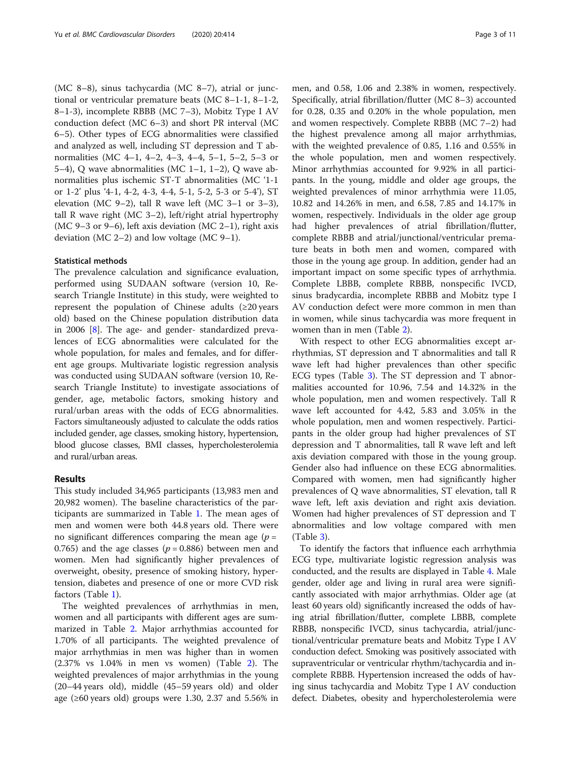(MC 8–8), sinus tachycardia (MC 8–7), atrial or junctional or ventricular premature beats (MC 8–1-1, 8–1-2, 8–1-3), incomplete RBBB (MC 7–3), Mobitz Type I AV conduction defect (MC 6–3) and short PR interval (MC 6–5). Other types of ECG abnormalities were classified and analyzed as well, including ST depression and T abnormalities (MC 4–1, 4–2, 4–3, 4–4, 5–1, 5–2, 5–3 or 5–4), O wave abnormalities (MC 1–1, 1–2), O wave abnormalities plus ischemic ST-T abnormalities (MC '1-1 or 1-2' plus '4-1, 4-2, 4-3, 4-4, 5-1, 5-2, 5-3 or 5-4'), ST elevation (MC 9–2), tall R wave left (MC 3–1 or 3–3), tall R wave right (MC 3–2), left/right atrial hypertrophy (MC 9–3 or 9–6), left axis deviation (MC 2–1), right axis deviation (MC 2–2) and low voltage (MC 9–1).

# Statistical methods

The prevalence calculation and significance evaluation, performed using SUDAAN software (version 10, Research Triangle Institute) in this study, were weighted to represent the population of Chinese adults  $(\geq 20 \text{ years})$ old) based on the Chinese population distribution data in 2006 [\[8](#page-10-0)]. The age- and gender- standardized prevalences of ECG abnormalities were calculated for the whole population, for males and females, and for different age groups. Multivariate logistic regression analysis was conducted using SUDAAN software (version 10, Research Triangle Institute) to investigate associations of gender, age, metabolic factors, smoking history and rural/urban areas with the odds of ECG abnormalities. Factors simultaneously adjusted to calculate the odds ratios included gender, age classes, smoking history, hypertension, blood glucose classes, BMI classes, hypercholesterolemia and rural/urban areas.

#### Results

This study included 34,965 participants (13,983 men and 20,982 women). The baseline characteristics of the participants are summarized in Table [1](#page-3-0). The mean ages of men and women were both 44.8 years old. There were no significant differences comparing the mean age  $(p =$ 0.765) and the age classes ( $p = 0.886$ ) between men and women. Men had significantly higher prevalences of overweight, obesity, presence of smoking history, hypertension, diabetes and presence of one or more CVD risk factors (Table [1](#page-3-0)).

The weighted prevalences of arrhythmias in men, women and all participants with different ages are summarized in Table [2.](#page-4-0) Major arrhythmias accounted for 1.70% of all participants. The weighted prevalence of major arrhythmias in men was higher than in women (2.37% vs 1.04% in men vs women) (Table [2\)](#page-4-0). The weighted prevalences of major arrhythmias in the young (20–44 years old), middle (45–59 years old) and older age (≥60 years old) groups were 1.30, 2.37 and 5.56% in

men, and 0.58, 1.06 and 2.38% in women, respectively. Specifically, atrial fibrillation/flutter (MC 8–3) accounted for 0.28, 0.35 and 0.20% in the whole population, men and women respectively. Complete RBBB (MC 7–2) had the highest prevalence among all major arrhythmias, with the weighted prevalence of 0.85, 1.16 and 0.55% in the whole population, men and women respectively. Minor arrhythmias accounted for 9.92% in all participants. In the young, middle and older age groups, the weighted prevalences of minor arrhythmia were 11.05, 10.82 and 14.26% in men, and 6.58, 7.85 and 14.17% in women, respectively. Individuals in the older age group had higher prevalences of atrial fibrillation/flutter, complete RBBB and atrial/junctional/ventricular premature beats in both men and women, compared with those in the young age group. In addition, gender had an important impact on some specific types of arrhythmia. Complete LBBB, complete RBBB, nonspecific IVCD, sinus bradycardia, incomplete RBBB and Mobitz type I AV conduction defect were more common in men than in women, while sinus tachycardia was more frequent in women than in men (Table [2\)](#page-4-0).

With respect to other ECG abnormalities except arrhythmias, ST depression and T abnormalities and tall R wave left had higher prevalences than other specific ECG types (Table [3](#page-4-0)). The ST depression and T abnormalities accounted for 10.96, 7.54 and 14.32% in the whole population, men and women respectively. Tall R wave left accounted for 4.42, 5.83 and 3.05% in the whole population, men and women respectively. Participants in the older group had higher prevalences of ST depression and T abnormalities, tall R wave left and left axis deviation compared with those in the young group. Gender also had influence on these ECG abnormalities. Compared with women, men had significantly higher prevalences of Q wave abnormalities, ST elevation, tall R wave left, left axis deviation and right axis deviation. Women had higher prevalences of ST depression and T abnormalities and low voltage compared with men (Table [3\)](#page-4-0).

To identify the factors that influence each arrhythmia ECG type, multivariate logistic regression analysis was conducted, and the results are displayed in Table [4](#page-5-0). Male gender, older age and living in rural area were significantly associated with major arrhythmias. Older age (at least 60 years old) significantly increased the odds of having atrial fibrillation/flutter, complete LBBB, complete RBBB, nonspecific IVCD, sinus tachycardia, atrial/junctional/ventricular premature beats and Mobitz Type I AV conduction defect. Smoking was positively associated with supraventricular or ventricular rhythm/tachycardia and incomplete RBBB. Hypertension increased the odds of having sinus tachycardia and Mobitz Type I AV conduction defect. Diabetes, obesity and hypercholesterolemia were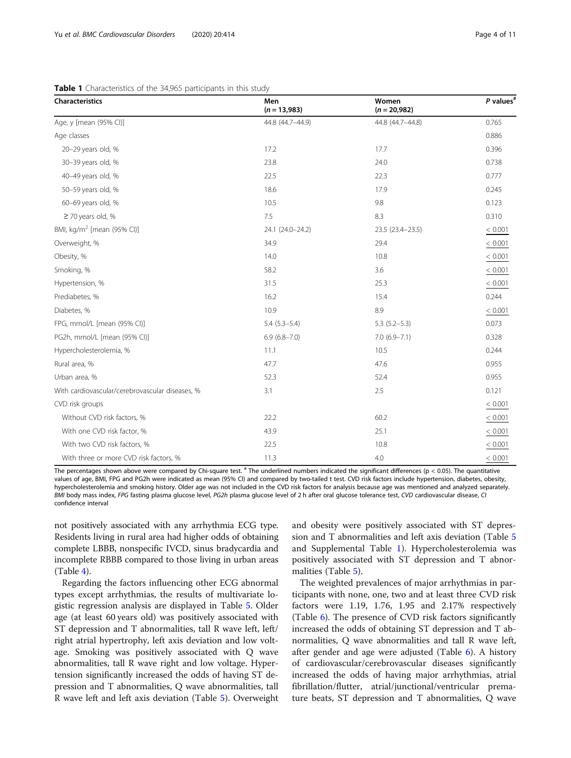| <b>Characteristics</b>                          | Men<br>$(n = 13,983)$ | Women<br>$(n = 20,982)$ | $P$ values $*$ |
|-------------------------------------------------|-----------------------|-------------------------|----------------|
| Age, y [mean (95% Cl)]                          | 44.8 (44.7-44.9)      | 44.8 (44.7-44.8)        | 0.765          |
| Age classes                                     |                       |                         | 0.886          |
| 20-29 years old, %                              | 17.2                  | 17.7                    | 0.396          |
| 30-39 years old, %                              | 23.8                  | 24.0                    | 0.738          |
| 40-49 years old, %                              | 22.5                  | 22.3                    | 0.777          |
| 50-59 years old, %                              | 18.6                  | 17.9                    | 0.245          |
| 60-69 years old, %                              | 10.5                  | 9.8                     | 0.123          |
| $\geq$ 70 years old, %                          | 7.5                   | 8.3                     | 0.310          |
| BMI, kg/m <sup>2</sup> [mean (95% CI)]          | 24.1 (24.0-24.2)      | 23.5 (23.4-23.5)        | < 0.001        |
| Overweight, %                                   | 34.9                  | 29.4                    | < 0.001        |
| Obesity, %                                      | 14.0                  | 10.8                    | < 0.001        |
| Smoking, %                                      | 58.2                  | 3.6                     | < 0.001        |
| Hypertension, %                                 | 31.5                  | 25.3                    | < 0.001        |
| Prediabetes, %                                  | 16.2                  | 15.4                    | 0.244          |
| Diabetes, %                                     | 10.9                  | 8.9                     | < 0.001        |
| FPG, mmol/L [mean (95% CI)]                     | $5.4(5.3-5.4)$        | $5.3(5.2 - 5.3)$        | 0.073          |
| PG2h, mmol/L [mean (95% CI)]                    | $6.9(6.8-7.0)$        | $7.0(6.9 - 7.1)$        | 0.328          |
| Hypercholesterolemia, %                         | 11.1                  | 10.5                    | 0.244          |
| Rural area, %                                   | 47.7                  | 47.6                    | 0.955          |
| Urban area, %                                   | 52.3                  | 52.4                    | 0.955          |
| With cardiovascular/cerebrovascular diseases, % | 3.1                   | 2.5                     | 0.121          |
| CVD risk groups                                 |                       |                         | < 0.001        |
| Without CVD risk factors, %                     | 22.2                  | 60.2                    | < 0.001        |
| With one CVD risk factor, %                     | 43.9                  | 25.1                    | < 0.001        |
| With two CVD risk factors, %                    | 22.5                  | 10.8                    | < 0.001        |
| With three or more CVD risk factors, %          | 11.3                  | 4.0                     | < 0.001        |

#### <span id="page-3-0"></span>Table 1 Characteristics of the 34,965 participants in this study

The percentages shown above were compared by Chi-square test.  $*$  The underlined numbers indicated the significant differences (p < 0.05). The quantitative values of age, BMI, FPG and PG2h were indicated as mean (95% CI) and compared by two-tailed t test. CVD risk factors include hypertension, diabetes, obesity, hypercholesterolemia and smoking history. Older age was not included in the CVD risk factors for analysis because age was mentioned and analyzed separately. BMI body mass index, FPG fasting plasma glucose level, PG2h plasma glucose level of 2 h after oral glucose tolerance test, CVD cardiovascular disease, CI confidence interval

not positively associated with any arrhythmia ECG type. Residents living in rural area had higher odds of obtaining complete LBBB, nonspecific IVCD, sinus bradycardia and incomplete RBBB compared to those living in urban areas (Table [4\)](#page-5-0).

Regarding the factors influencing other ECG abnormal types except arrhythmias, the results of multivariate logistic regression analysis are displayed in Table [5](#page-6-0). Older age (at least 60 years old) was positively associated with ST depression and T abnormalities, tall R wave left, left/ right atrial hypertrophy, left axis deviation and low voltage. Smoking was positively associated with Q wave abnormalities, tall R wave right and low voltage. Hypertension significantly increased the odds of having ST depression and T abnormalities, Q wave abnormalities, tall R wave left and left axis deviation (Table [5\)](#page-6-0). Overweight

and obesity were positively associated with ST depression and T abnormalities and left axis deviation (Table [5](#page-6-0) and Supplemental Table [1\)](#page-9-0). Hypercholesterolemia was positively associated with ST depression and T abnormalities (Table [5](#page-6-0)).

The weighted prevalences of major arrhythmias in participants with none, one, two and at least three CVD risk factors were 1.19, 1.76, 1.95 and 2.17% respectively (Table [6](#page-7-0)). The presence of CVD risk factors significantly increased the odds of obtaining ST depression and T abnormalities, Q wave abnormalities and tall R wave left, after gender and age were adjusted (Table [6\)](#page-7-0). A history of cardiovascular/cerebrovascular diseases significantly increased the odds of having major arrhythmias, atrial fibrillation/flutter, atrial/junctional/ventricular premature beats, ST depression and T abnormalities, Q wave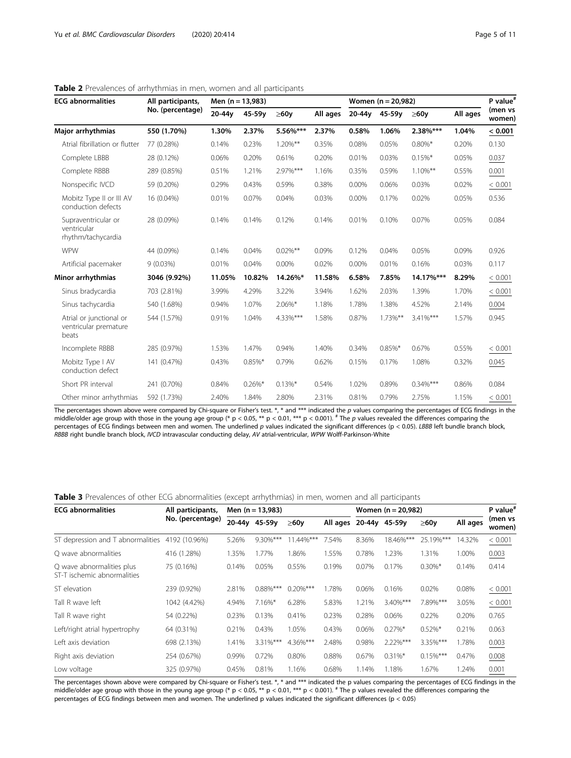| <b>ECG abnormalities</b>                                  | All participants, | Men (n = 13,983) |            |             |          |        | Women (n = 20,982) |              |          | P value <sup>*</sup> |
|-----------------------------------------------------------|-------------------|------------------|------------|-------------|----------|--------|--------------------|--------------|----------|----------------------|
|                                                           | No. (percentage)  | 20-44y           | 45-59y     | $\geq 60$ y | All ages | 20-44y | $45 - 59y$         | $\geq 60$ v  | All ages | (men vs<br>women)    |
| Major arrhythmias                                         | 550 (1.70%)       | 1.30%            | 2.37%      | 5.56%***    | 2.37%    | 0.58%  | 1.06%              | 2.38%***     | 1.04%    | < 0.001              |
| Atrial fibrillation or flutter                            | 77 (0.28%)        | 0.14%            | 0.23%      | $1.20\%$ ** | 0.35%    | 0.08%  | 0.05%              | $0.80\%$ *   | 0.20%    | 0.130                |
| Complete LBBB                                             | 28 (0.12%)        | 0.06%            | 0.20%      | 0.61%       | 0.20%    | 0.01%  | 0.03%              | $0.15\%$ *   | 0.05%    | 0.037                |
| Complete RBBB                                             | 289 (0.85%)       | 0.51%            | 1.21%      | 2.97%***    | 1.16%    | 0.35%  | 0.59%              | $1.10\%$ **  | 0.55%    | 0.001                |
| Nonspecific IVCD                                          | 59 (0.20%)        | 0.29%            | 0.43%      | 0.59%       | 0.38%    | 0.00%  | 0.06%              | 0.03%        | 0.02%    | < 0.001              |
| Mobitz Type II or III AV<br>conduction defects            | 16 (0.04%)        | 0.01%            | 0.07%      | 0.04%       | 0.03%    | 0.00%  | 0.17%              | 0.02%        | 0.05%    | 0.536                |
| Supraventricular or<br>ventricular<br>rhythm/tachycardia  | 28 (0.09%)        | 0.14%            | 0.14%      | 0.12%       | 0.14%    | 0.01%  | 0.10%              | 0.07%        | 0.05%    | 0.084                |
| <b>WPW</b>                                                | 44 (0.09%)        | 0.14%            | 0.04%      | $0.02\%$ ** | 0.09%    | 0.12%  | 0.04%              | 0.05%        | 0.09%    | 0.926                |
| Artificial pacemaker                                      | 9(0.03%)          | 0.01%            | 0.04%      | 0.00%       | 0.02%    | 0.00%  | 0.01%              | 0.16%        | 0.03%    | 0.117                |
| Minor arrhythmias                                         | 3046 (9.92%)      | 11.05%           | 10.82%     | 14.26%*     | 11.58%   | 6.58%  | 7.85%              | 14.17%***    | 8.29%    | < 0.001              |
| Sinus bradycardia                                         | 703 (2.81%)       | 3.99%            | 4.29%      | 3.22%       | 3.94%    | 1.62%  | 2.03%              | 1.39%        | 1.70%    | < 0.001              |
| Sinus tachycardia                                         | 540 (1.68%)       | 0.94%            | 1.07%      | 2.06%*      | 1.18%    | 1.78%  | 1.38%              | 4.52%        | 2.14%    | 0.004                |
| Atrial or junctional or<br>ventricular premature<br>beats | 544 (1.57%)       | 0.91%            | 1.04%      | 4.33%***    | 1.58%    | 0.87%  | 1.73%**            | 3.41%***     | 1.57%    | 0.945                |
| Incomplete RBBB                                           | 285 (0.97%)       | 1.53%            | 1.47%      | 0.94%       | 1.40%    | 0.34%  | $0.85\%$ *         | 0.67%        | 0.55%    | < 0.001              |
| Mobitz Type I AV<br>conduction defect                     | 141 (0.47%)       | 0.43%            | $0.85\%$ * | 0.79%       | 0.62%    | 0.15%  | 0.17%              | 1.08%        | 0.32%    | 0.045                |
| Short PR interval                                         | 241 (0.70%)       | 0.84%            | $0.26\%$ * | $0.13\%$ *  | 0.54%    | 1.02%  | 0.89%              | $0.34\%$ *** | 0.86%    | 0.084                |
| Other minor arrhythmias                                   | 592 (1.73%)       | 2.40%            | 1.84%      | 2.80%       | 2.31%    | 0.81%  | 0.79%              | 2.75%        | 1.15%    | < 0.001              |

### <span id="page-4-0"></span>Table 2 Prevalences of arrhythmias in men, women and all participants

The percentages shown above were compared by Chi-square or Fisher's test.  $*, *$  and  $***$  indicated the  $p$  values comparing the percentages of ECG findings in the middle/older age group with those in the young age group (\* p < 0.05, \*\* p < 0.01, \*\*\* p < 0.001). <sup>#</sup> The p values revealed the differences comparing the percentages of ECG findings between men and women. The underlined p values indicated the significant differences (p < 0.05). LBBB left bundle branch block, RBBB right bundle branch block, IVCD intravascular conducting delay, AV atrial-ventricular, WPW Wolff-Parkinson-White

Table 3 Prevalences of other ECG abnormalities (except arrhythmias) in men, women and all participants

| <b>ECG abnormalities</b>                                 | All participants, |       | Men $(n = 13,983)$ |               |          |       | Women (n = 20,982) |              |          | P value $*$       |
|----------------------------------------------------------|-------------------|-------|--------------------|---------------|----------|-------|--------------------|--------------|----------|-------------------|
|                                                          | No. (percentage)  |       | 20-44v 45-59v      | $\geq 60$ y   | All ages |       | 20-44v 45-59v      | $\geq 60y$   | All ages | (men vs<br>women) |
| ST depression and T abnormalities                        | 4192 (10.96%)     | 5.26% | $9.30\%$ ***       | $11.44\%$ *** | 7.54%    | 8.36% | 18.46%***          | 25.19%***    | 14.32%   | < 0.001           |
| O wave abnormalities                                     | 416 (1.28%)       | .35%  | 1.77%              | 1.86%         | 1.55%    | 0.78% | 1.23%              | .31%         | 1.00%    | 0.003             |
| Q wave abnormalities plus<br>ST-T ischemic abnormalities | 75 (0.16%)        | 0.14% | 0.05%              | 0.55%         | 0.19%    | 0.07% | 0.17%              | $0.30\%$ *   | 0.14%    | 0.414             |
| ST elevation                                             | 239 (0.92%)       | 2.81% | $0.88\%$ ***       | $0.20\%$ ***  | 1.78%    | 0.06% | 0.16%              | 0.02%        | 0.08%    | < 0.001           |
| Tall R wave left                                         | 1042 (4.42%)      | 4.94% | 7.16%*             | 6.28%         | 5.83%    | .21%  | $3.40\%$ ***       | 7.89%***     | 3.05%    | < 0.001           |
| Tall R wave right                                        | 54 (0.22%)        | 0.23% | 0.13%              | 0.41%         | 0.23%    | 0.28% | 0.06%              | 0.22%        | 0.20%    | 0.765             |
| Left/right atrial hypertrophy                            | 64 (0.31%)        | 0.21% | 0.43%              | 1.05%         | 0.43%    | 0.06% | $0.27\%$ *         | $0.52\%$ *   | 0.21%    | 0.063             |
| Left axis deviation                                      | 698 (2.13%)       | 1.41% | 3.31%***           | 4.36%***      | 2.48%    | 0.98% | 2.22%***           | 3.35%***     | 1.78%    | 0.003             |
| Right axis deviation                                     | 254 (0.67%)       | 0.99% | 0.72%              | 0.80%         | 0.88%    | 0.67% | $0.31\%$ *         | $0.15\%$ *** | 0.47%    | 0.008             |
| Low voltage                                              | 325 (0.97%)       | 0.45% | 0.81%              | 1.16%         | 0.68%    | 1.14% | 1.18%              | 1.67%        | 1.24%    | 0.001             |

The percentages shown above were compared by Chi-square or Fisher's test. \*, \* and \*\*\* indicated the p values comparing the percentages of ECG findings in the<br>middle/older age group with those in the young age group (\* p percentages of ECG findings between men and women. The underlined p values indicated the significant differences (p < 0.05)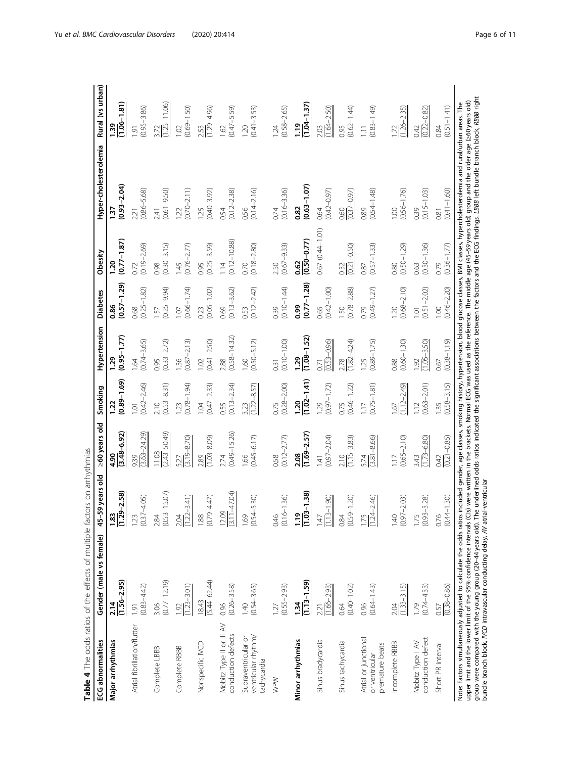<span id="page-5-0"></span>

| ECG abnormalities                                         | Gender (male vs female)                                                                                                                                                                                                                                                                  | 9 years old<br>$45 - 5$             | ≥60 years old                    | Smoking                             | Hypertension                                 | <b>Diabetes</b>         | Obesity                      | Hyper-cholesterolemia                                                                                                                            | Rural (vs urban)                  |
|-----------------------------------------------------------|------------------------------------------------------------------------------------------------------------------------------------------------------------------------------------------------------------------------------------------------------------------------------------------|-------------------------------------|----------------------------------|-------------------------------------|----------------------------------------------|-------------------------|------------------------------|--------------------------------------------------------------------------------------------------------------------------------------------------|-----------------------------------|
| Major arrhythmias                                         | $\frac{2.14}{(1.56-2.95)}$                                                                                                                                                                                                                                                               | $-2.58$<br>1.83<br>$\frac{1}{29}$   | $3.48 - 6.92$<br>4.90            | $(69 - 1.69)$<br>1.22               | $(0.95 - 1.77)$<br>1.29                      | $(0.57 - 1.29)$<br>0.86 | $(0.77 - 1.87)$<br>1.20      | $(0.93 - 2.04)$<br>$\frac{137}{2}$                                                                                                               | $(1.06 - 1.81)$<br>$\frac{39}{2}$ |
| Atrial fibrillation/flutter                               | $(0.83 - 4.42)$<br>$\overline{191}$                                                                                                                                                                                                                                                      | $(0.37 - 4.05)$<br>1.23             | $3.\overline{63} - 24.29$<br>939 | $0.42 - 2.46$<br>$\overline{1}$ .01 | $(0.74 - 3.65)$<br>1.64                      | $(0.25 - 1.82)$<br>0.68 | $0.72$<br>$(0.19 - 2.69)$    | $(0.86 - 5.68)$<br>2.21                                                                                                                          | $(0.95 - 3.86)$<br>$\overline{6}$ |
| Complete LBBB                                             | $(0.77 - 12.19)$<br>3.06                                                                                                                                                                                                                                                                 | $(0.53 - 15.07)$<br>2.84            | $2.43 - 50.49$<br>1.08           | $0.53 - 8.31$<br>2.10               | $(0.33 - 2.72)$<br>0.95                      | $(0.25 - 9.94)$<br>1.57 | $(0.30 - 3.15)$<br>0.98      | $(0.61 - 9.50)$<br>2.41                                                                                                                          | $\frac{3.72}{(1.25-11.06)}$       |
| Complete RBBB                                             | $\frac{1.92}{(1.23 - 3.01)}$                                                                                                                                                                                                                                                             | 3.41)<br>2.04<br>$\frac{1}{2}$      | $3.19 - 8.70$<br>5.27            | (1.94)<br>$\overline{23}$           | $(0.87 - 2.13)$<br>1.36                      | $(0.66 - 1.74)$<br>1.07 | $1.45$<br>(0.76–2.77)        | $(0.70 - 2.11)$<br>122                                                                                                                           | $(0.69 - 1.50)$<br>$\overline{0}$ |
| Nonspecific IVCD                                          | (5.44-62.44)<br>18.43                                                                                                                                                                                                                                                                    | $(0.79 - 4.47)$<br>1.88             | $1.03 - 8.09$<br>289             | $0.47 - 2.33$<br>1.04               | $(0.41 - 2.50)$<br>1.02                      | $(0.05 - 1.02)$<br>0.23 | $(0.25 - 3.59)$<br>0.95      | $(0.40 - 3.92)$<br>1.25                                                                                                                          | $\frac{2.53}{(1.29 - 4.96)}$      |
| Mobitz Type II or III AV<br>conduction defects            | $(0.26 - 3.58)$<br>0.96                                                                                                                                                                                                                                                                  | $-47.04$<br>12.09<br>(3.11)         | $0.49 - 15.26$<br>2.74           | $0.13 - 2.34$<br>0.55               | $(0.58 - 14.32)$<br>2.88                     | $(0.13 - 3.62)$<br>0.69 | $1.14$<br>(0.12-10.88)       | $(0.12 - 2.38)$<br>0.54                                                                                                                          | $0.47 - 5.59$<br>.62              |
| ventricular rhythm/<br>Supraventricular or<br>tachycardia | $(0.54 - 3.65)$<br>$\frac{40}{5}$                                                                                                                                                                                                                                                        | 5.30<br>$(0.54 - 5)$<br>1.69        | $(0.45 - 6.17)$<br>1.66          | $\frac{3.23}{(1.22 - 8.57)}$        | $(0.50 - 5.12)$<br>1.60                      | $(0.12 - 2.42)$<br>0.53 | $0.18 - 2.80$<br>0.70        | $(0.14 - 2.16)$<br>0.56                                                                                                                          | $(0.41 - 3.53)$<br>1.20           |
| WPW                                                       | $(0.55 - 2.93)$<br>127                                                                                                                                                                                                                                                                   | $(0.16 - 1.36)$<br>0.46             | $(0.12 - 2.77)$<br>0.58          | $(0.28 - 2.00)$<br>0.75             | $(0.10 - 1.00)$<br>0.31                      | $(0.10 - 1.44)$<br>0.39 | $(0.67 - 9.33)$<br>2.50      | $(0.16 - 3.36)$<br>0.74                                                                                                                          | $(0.58 - 2.65)$<br>1.24           |
| Minor arrhythmias                                         | $\frac{1.34}{(1.13-1.59)}$                                                                                                                                                                                                                                                               | $-1.38$<br>1.19<br>$\frac{1}{2}$    | $\frac{2.08}{(1.69 - 2.57)}$     | $\frac{1.20}{(1.02-1.41)}$          | $\frac{1.29}{(1.08-1.52)}$                   | $(0.77 - 1.28)$<br>0.99 | $\frac{0.62}{(0.50 - 0.77)}$ | $(0.63 - 1.07)$<br>0.82                                                                                                                          | $1.04 - 1.37$<br>$\frac{6}{1}$    |
| Sinus bradycardia                                         | $(1.66 - 2.93)$<br>2.21                                                                                                                                                                                                                                                                  | $(1.13 - 1.90)$<br>147              | $(0.97 - 2.04)$<br>$\frac{4}{4}$ | $0.97 - 1.72$<br>29                 | $0.53 - 0.96$                                | $(0.42 - 1.00)$<br>0.65 | 0.67 (0.44-1.01)             | $(16.0 - 24.0)$<br>0.64                                                                                                                          | $1.64 - 2.50$<br>03               |
| Sinus tachycardia                                         | $(0.40 - 1.02)$<br>0.64                                                                                                                                                                                                                                                                  | $(0.59 - 1.20)$<br>0.84             | $1.15 - 3.83$<br>210             | $0.46 - 1.22$<br>0.75               | $1.82 - 4.24$<br>2.78                        | $(0.78 - 2.88)$<br>1.50 | $\frac{0.32}{(0.21 - 0.50)}$ | $\frac{0.60}{(0.37 - 0.97)}$                                                                                                                     | $(0.62 - 1.44)$<br>0.95           |
| Atrial or junctional<br>premature beats<br>or ventricular | $(0.64 - 1.43)$<br>0.96                                                                                                                                                                                                                                                                  | $\frac{1.75}{(1.24-2.46)}$          | $(3.81 - 8.66)$<br>5.74          | $0.75 - 1.81$<br>$\overline{17}$    | $0.89 - 1.75$<br>25                          | $(0.49 - 1.27)$<br>0.79 | $(0.57 - 1.33)$<br>0.87      | $(0.54 - 1.48)$<br>0.89                                                                                                                          | $(94 - 183)$<br>$\overline{11}$   |
| Incomplete RBBB                                           | $(1.33 - 3.15)$<br>2.04                                                                                                                                                                                                                                                                  | $(0.97 - 2.03)$<br>$\overline{140}$ | $(0.65 - 2.10)$<br>1.17          | $\overline{1.12} - 2.49$<br>67      | $(0.60 - 1.30)$<br>0.88                      | $(0.68 - 2.10)$<br>1.20 | $(0.50 - 1.29)$<br>0.80      | $(0.56 - 1.76)$<br>00.1                                                                                                                          | $\frac{1.72}{(1.26 - 2.35)}$      |
| conduction defect<br>Mobitz Type I AV                     | $(0.74 - 4.33)$<br>1.79                                                                                                                                                                                                                                                                  | $-3.28$<br>1.75<br>$(0.93 -$        | $\frac{3.43}{(1.73 - 6.80)}$     | $(0.63 - 2.01)$<br>$\overline{12}$  | $(1.05 - 3.50)$<br>$\widetilde{\mathcal{S}}$ | $(0.51 - 2.02)$<br>101  | $(0.30 - 1.36)$<br>0.63      | $(0.15 - 1.03)$<br>0.39                                                                                                                          | $\frac{0.42}{(0.22 - 0.82)}$      |
| Short PR interval                                         | $\frac{0.57}{0.38 - 0.86}$                                                                                                                                                                                                                                                               | $(0.44 - 1.30)$<br>0.76             | $\frac{0.42}{(0.21 - 0.85)}$     | $(0.58 - 3.15)$<br>1.35             | $(0.38 - 1.19)$<br>0.67                      | $(0.46 - 2.20)$<br>001  | $(0.36 - 1.77)$<br>0.79      | $(0.41 - 1.60)$<br>0.81                                                                                                                          | $(0.51 - 1.41)$<br>0.84           |
|                                                           | upper limit and the lower limit of the 95% confidence intervals (Cls) were written in the brackets. Normal ECG was used as the reference. The middle age (45-59 years old) group and the older age (≥60 years old)<br>Note: Factors simultaneously adjusted to calculate the odds ratios |                                     |                                  |                                     |                                              |                         |                              | included gender, age classes, smoking history, hypertension, blood glucose classes, BMI classes, hypercholesterolemia and rural/urban areas. The |                                   |

Table 4 The odds ratios of the effects of multiple factors on arrhythmias

group were compared with the young group (20–44 years old). The underlined odds ratios indicated the significant associations between the factors and the ECG findings. LBBB left bundle branch block, RBBB right

bundle branch block, IVCD intravascular conducting delay, AV atrial-ventricular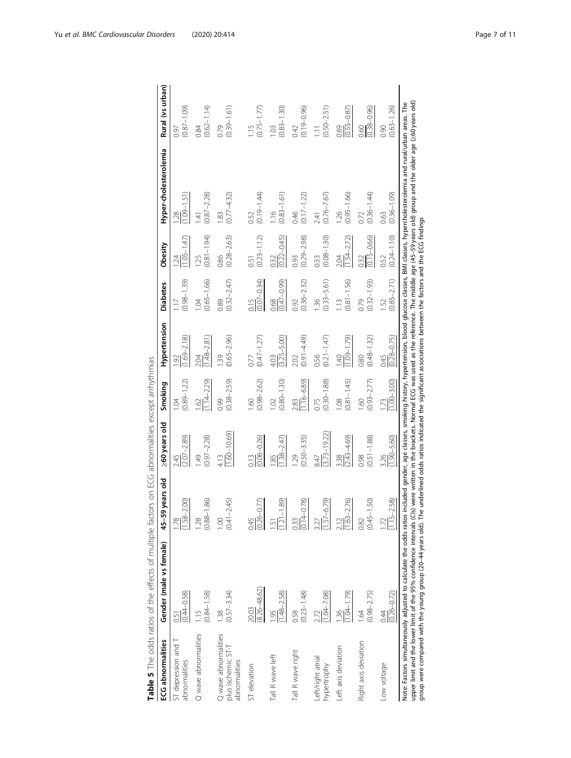<span id="page-6-0"></span>

| ECG abnormalities                                           | - האומר המוני המוני המוני המוני המוני המוני המוני המוני המוני המוני המוני המוני המוני המוני המוני המוני המוני ה<br>את המוני המוני המוני המוני המוני המוני המוני המוני המוני המוני המוני המוני המוני המוני המוני המוני המוני המו<br>Gender (male vs female)                                                                                                    | years old<br>$45 - 59$                      | >60 years old                | rannini hairinin 12リソくリ<br>Smoking | Hypertension                                                                                           | <b>Diabetes</b>              | Obesity                      | Hyper-cholesterolemia                                                                                                                            | Rural (vs urban)                 |
|-------------------------------------------------------------|---------------------------------------------------------------------------------------------------------------------------------------------------------------------------------------------------------------------------------------------------------------------------------------------------------------------------------------------------------------|---------------------------------------------|------------------------------|------------------------------------|--------------------------------------------------------------------------------------------------------|------------------------------|------------------------------|--------------------------------------------------------------------------------------------------------------------------------------------------|----------------------------------|
| ST depression and T<br>abnormalities                        | $(0.44 - 0.58)$<br>0.51                                                                                                                                                                                                                                                                                                                                       | $\frac{1.78}{(1.58 - 2.00)}$                | $(2.07 - 2.89)$<br>245       | $(0.89 - 1.22)$<br>104             | $\frac{1.92}{(1.69 - 2.18)}$                                                                           | $(0.98 - 1.39)$<br>1.17      | $\frac{1.24}{(1.05-1.47)}$   | $\frac{1.28}{(1.09 - 1.51)}$                                                                                                                     | $(60.1 - 78.0)$<br>0.97          |
| Q wave abnormalities                                        | $(0.84 - 1.58)$<br>1.15                                                                                                                                                                                                                                                                                                                                       | .86<br>$(0.88 -$<br>1.28                    | $(0.97 - 2.28)$<br>1.49      | $\sqrt{1.14-2.29}$<br>1.62         | $1.48 - 2.81$<br>2.04                                                                                  | $(0.65 - 1.66)$<br>$-104$    | $(0.81 - 1.94)$<br>125       | $(0.87 - 2.28)$<br>$\frac{1}{4}$                                                                                                                 | $(0.62 - 1.14)$<br>0.84          |
| Q wave abnormalities<br>plus ischemic ST-T<br>abnormalities | $(0.57 - 3.34)$<br>1.38                                                                                                                                                                                                                                                                                                                                       | $(0.41 - 2.45)$<br>00.1                     | $\frac{4.13}{(1.60-10.69)}$  | $(0.38 - 2.59)$<br>0.99            | $(0.65 - 2.96)$<br>1.39                                                                                | $(0.32 - 2.47)$<br>0.89      | $(0.28 - 2.63)$<br>0.86      | $(0.77 - 4.32)$<br>1.83                                                                                                                          | $(0.39 - 1.61)$<br>0.79          |
| ST elevation                                                | $\frac{20.03}{(8.26-48.62)}$                                                                                                                                                                                                                                                                                                                                  | 0.77)<br>0.45<br>0.26–0<br>0.26–0           | $\frac{0.13}{(0.06 - 0.26)}$ | $(0.98 - 2.62)$<br>$\odot$         | $0.77$<br>(0.47 – 1.27)                                                                                | $\frac{0.15}{(0.07 - 0.34)}$ | $(0.23 - 1.12)$<br>0.51      | $0.52$<br>(0.19–1.44)                                                                                                                            | $1.15$<br>(0.75–1.77)            |
| Tall R wave left                                            | $1.48 - 2.58$<br>1.95                                                                                                                                                                                                                                                                                                                                         | (68)<br>$\overline{121}$<br>$\overline{51}$ | $1.38 - 2.47$                | $(0.80 - 1.30)$<br>1.02            | $\frac{4.03}{(3.25-5.00)}$                                                                             | $(66.0 - 74.0)$              | $\frac{0.32}{(0.22 - 0.45)}$ | $(0.83 - 1.61)$<br>$\frac{16}{1}$                                                                                                                | $(0.83 - 1.30)$<br>$\frac{3}{2}$ |
| Tall R wave right                                           | $(0.23 - 1.48)$<br>0.58                                                                                                                                                                                                                                                                                                                                       | 0.78<br>$(0.14 -$<br>0.33                   | $(0.50 - 3.35)$<br>1.29      | $1.16 - 6.89$<br>2.83              | $(64.4-19.0)$<br>2.02                                                                                  | $(0.36 - 2.32)$<br>0.92      | $(0.29 - 2.98)$<br>0.93      | $(0.17 - 1.22)$<br>0.46                                                                                                                          | $(0.19 - 0.96)$<br>0.42          |
| Left/right atrial<br>hypertrophy                            | $1.04 - 7.08$                                                                                                                                                                                                                                                                                                                                                 | $1.57 - 6.79$<br>3.27                       | $(3.73 - 19.22)$<br>847      | $(0.30 - 1.88)$<br>0.75            | $(0.21 - 1.47)$<br>0.56                                                                                | $(0.33 - 5.61)$<br>1.36      | $(0.08 - 1.30)$<br>0.33      | $(0.76 - 7.67)$<br>2.41                                                                                                                          | $(0.50 - 2.51)$<br>$\frac{1}{2}$ |
| Left axis deviation                                         | $1.04 - 1.79$<br>1.36                                                                                                                                                                                                                                                                                                                                         | 2.76)<br>$(1.63 -$<br>2.12                  | $(2.43 - 4.69)$<br>3.38      | $(24 - 1.80)$<br>1.08              | $\frac{1.40}{(1.09-1.79)}$                                                                             | $(0.81 - 1.56)$<br>13        | $(1.54 - 2.72)$<br>2.04      | $(0.95 - 1.66)$<br>1.26                                                                                                                          | $\frac{0.69}{(0.55 - 0.87)}$     |
| Right axis deviation                                        | $(0.98 - 2.75)$<br>1.64                                                                                                                                                                                                                                                                                                                                       | 50)<br>$(0.45 -$<br>0.82                    | $(0.51 - 1.88)$<br>0.98      | $(0.93 - 2.77)$<br>1.60            | $(0.48 - 1.32)$<br>0.80                                                                                | $(0.32 - 1.93)$<br>0.79      | $(0.15 - 0.66)$<br>0.32      | $(0.36 - 1.44)$<br>0.72                                                                                                                          | $(0.38 - 0.96)$<br>0.60          |
| Low voltage                                                 | $(0.26 - 0.72)$<br>0:4                                                                                                                                                                                                                                                                                                                                        | 2.58)<br>$\frac{1.72}{1.15}$                | $(1.90 - 5.60)$<br>3.26      | $(1.00 - 3.00)$<br>1.73            | $(0.28 - 0.75)$<br>0.45                                                                                | $(0.85 - 2.71)$<br>1.52      | $(0.24 - 1.10)$<br>0.52      | $(0.36 - 1.09)$<br>0.63                                                                                                                          | $(0.63 - 1.26)$<br>0.90          |
|                                                             | upper limit and the lower limit of the 95% confidence intervals (Cls) were written in the brackets. Normal ECG was used as the reference. The middle age (45-59 years old) group and the older age (≥60 years old)<br>group were compared with the young group (20-44 years old). The<br>Note: Factors simultaneously adjusted to calculate the odds ratios i |                                             |                              |                                    | underlined odds ratios indicated the significant associations between the factors and the ECG findings |                              |                              | included gender, age classes, smoking history, hypertension, blood glucose classes, BMI classes, hypercholesterolemia and rural/urban areas. The |                                  |

Table 5 The odds ratios of the effects of multiple factors on ECG abnormalities except arrhythmias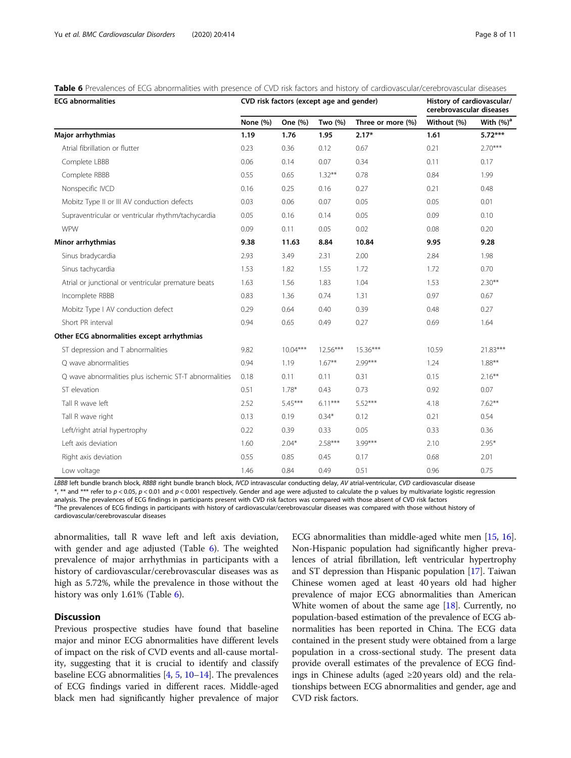# <span id="page-7-0"></span>Table 6 Prevalences of ECG abnormalities with presence of CVD risk factors and history of cardiovascular/cerebrovascular diseases

| <b>ECG abnormalities</b>                              |          |            | CVD risk factors (except age and gender) |                   | History of cardiovascular/<br>cerebrovascular diseases |              |
|-------------------------------------------------------|----------|------------|------------------------------------------|-------------------|--------------------------------------------------------|--------------|
|                                                       | None (%) | One (%)    | Two (%)                                  | Three or more (%) | Without (%)                                            | With $(%)^a$ |
| Major arrhythmias                                     | 1.19     | 1.76       | 1.95                                     | $2.17*$           | 1.61                                                   | $5.72***$    |
| Atrial fibrillation or flutter                        | 0.23     | 0.36       | 0.12                                     | 0.67              | 0.21                                                   | $2.70***$    |
| Complete LBBB                                         | 0.06     | 0.14       | 0.07                                     | 0.34              | 0.11                                                   | 0.17         |
| Complete RBBB                                         | 0.55     | 0.65       | $1.32***$                                | 0.78              | 0.84                                                   | 1.99         |
| Nonspecific IVCD                                      | 0.16     | 0.25       | 0.16                                     | 0.27              | 0.21                                                   | 0.48         |
| Mobitz Type II or III AV conduction defects           | 0.03     | 0.06       | 0.07                                     | 0.05              | 0.05                                                   | 0.01         |
| Supraventricular or ventricular rhythm/tachycardia    | 0.05     | 0.16       | 0.14                                     | 0.05              | 0.09                                                   | 0.10         |
| <b>WPW</b>                                            | 0.09     | 0.11       | 0.05                                     | 0.02              | 0.08                                                   | 0.20         |
| Minor arrhythmias                                     | 9.38     | 11.63      | 8.84                                     | 10.84             | 9.95                                                   | 9.28         |
| Sinus bradycardia                                     | 2.93     | 3.49       | 2.31                                     | 2.00              | 2.84                                                   | 1.98         |
| Sinus tachycardia                                     | 1.53     | 1.82       | 1.55                                     | 1.72              | 1.72                                                   | 0.70         |
| Atrial or junctional or ventricular premature beats   | 1.63     | 1.56       | 1.83                                     | 1.04              | 1.53                                                   | $2.30**$     |
| Incomplete RBBB                                       | 0.83     | 1.36       | 0.74                                     | 1.31              | 0.97                                                   | 0.67         |
| Mobitz Type I AV conduction defect                    | 0.29     | 0.64       | 0.40                                     | 0.39              | 0.48                                                   | 0.27         |
| Short PR interval                                     | 0.94     | 0.65       | 0.49                                     | 0.27              | 0.69                                                   | 1.64         |
| Other ECG abnormalities except arrhythmias            |          |            |                                          |                   |                                                        |              |
| ST depression and T abnormalities                     | 9.82     | $10.04***$ | $12.56***$                               | 15.36***          | 10.59                                                  | 21.83***     |
| Q wave abnormalities                                  | 0.94     | 1.19       | $1.67***$                                | $2.99***$         | 1.24                                                   | $1.88***$    |
| Q wave abnormalities plus ischemic ST-T abnormalities | 0.18     | 0.11       | 0.11                                     | 0.31              | 0.15                                                   | $2.16***$    |
| ST elevation                                          | 0.51     | $1.78*$    | 0.43                                     | 0.73              | 0.92                                                   | 0.07         |
| Tall R wave left                                      | 2.52     | $5.45***$  | $6.11***$                                | $5.52***$         | 4.18                                                   | $7.62***$    |
| Tall R wave right                                     | 0.13     | 0.19       | $0.34*$                                  | 0.12              | 0.21                                                   | 0.54         |
| Left/right atrial hypertrophy                         | 0.22     | 0.39       | 0.33                                     | 0.05              | 0.33                                                   | 0.36         |
| Left axis deviation                                   | 1.60     | $2.04*$    | 2.58***                                  | $3.99***$         | 2.10                                                   | $2.95*$      |
| Right axis deviation                                  | 0.55     | 0.85       | 0.45                                     | 0.17              | 0.68                                                   | 2.01         |
| Low voltage                                           | 1.46     | 0.84       | 0.49                                     | 0.51              | 0.96                                                   | 0.75         |

LBBB left bundle branch block, RBBB right bundle branch block, IVCD intravascular conducting delay, AV atrial-ventricular, CVD cardiovascular disease

\*, \*\* and \*\*\* refer to  $p < 0.05$ ,  $p < 0.01$  and  $p < 0.001$  respectively. Gender and age were adjusted to calculate the p values by multivariate logistic regression analysis. The prevalences of ECG findings in participants present with CVD risk factors was compared with those absent of CVD risk factors <sup>a</sup>The prevalences of ECG findings in participants with history of cardiovascular/cerebrovascular diseases was compared with those without history of

cardiovascular/cerebrovascular diseases

abnormalities, tall R wave left and left axis deviation, with gender and age adjusted (Table 6). The weighted prevalence of major arrhythmias in participants with a history of cardiovascular/cerebrovascular diseases was as high as 5.72%, while the prevalence in those without the history was only 1.61% (Table 6).

# **Discussion**

Previous prospective studies have found that baseline major and minor ECG abnormalities have different levels of impact on the risk of CVD events and all-cause mortality, suggesting that it is crucial to identify and classify baseline ECG abnormalities [\[4](#page-9-0), [5,](#page-9-0) [10](#page-10-0)–[14\]](#page-10-0). The prevalences of ECG findings varied in different races. Middle-aged black men had significantly higher prevalence of major

ECG abnormalities than middle-aged white men [[15](#page-10-0), [16](#page-10-0)]. Non-Hispanic population had significantly higher prevalences of atrial fibrillation, left ventricular hypertrophy and ST depression than Hispanic population [\[17\]](#page-10-0). Taiwan Chinese women aged at least 40 years old had higher prevalence of major ECG abnormalities than American White women of about the same age  $[18]$ . Currently, no population-based estimation of the prevalence of ECG abnormalities has been reported in China. The ECG data contained in the present study were obtained from a large population in a cross-sectional study. The present data provide overall estimates of the prevalence of ECG findings in Chinese adults (aged ≥20 years old) and the relationships between ECG abnormalities and gender, age and CVD risk factors.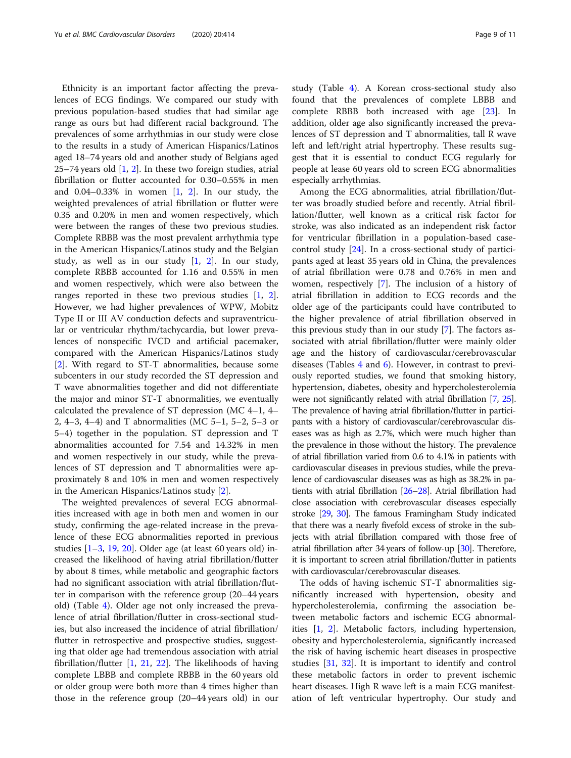Ethnicity is an important factor affecting the prevalences of ECG findings. We compared our study with previous population-based studies that had similar age range as ours but had different racial background. The prevalences of some arrhythmias in our study were close to the results in a study of American Hispanics/Latinos aged 18–74 years old and another study of Belgians aged 25–74 years old [\[1,](#page-9-0) [2](#page-9-0)]. In these two foreign studies, atrial fibrillation or flutter accounted for 0.30–0.55% in men and  $0.04-0.33\%$  in women  $\begin{bmatrix} 1 \\ 2 \end{bmatrix}$  $\begin{bmatrix} 1 \\ 2 \end{bmatrix}$  $\begin{bmatrix} 1 \\ 2 \end{bmatrix}$ . In our study, the weighted prevalences of atrial fibrillation or flutter were 0.35 and 0.20% in men and women respectively, which were between the ranges of these two previous studies. Complete RBBB was the most prevalent arrhythmia type in the American Hispanics/Latinos study and the Belgian study, as well as in our study [[1](#page-9-0), [2](#page-9-0)]. In our study, complete RBBB accounted for 1.16 and 0.55% in men and women respectively, which were also between the ranges reported in these two previous studies [[1,](#page-9-0) [2](#page-9-0)]. However, we had higher prevalences of WPW, Mobitz Type II or III AV conduction defects and supraventricular or ventricular rhythm/tachycardia, but lower prevalences of nonspecific IVCD and artificial pacemaker, compared with the American Hispanics/Latinos study [[2\]](#page-9-0). With regard to ST-T abnormalities, because some subcenters in our study recorded the ST depression and T wave abnormalities together and did not differentiate the major and minor ST-T abnormalities, we eventually calculated the prevalence of ST depression (MC 4–1, 4– 2, 4–3, 4–4) and T abnormalities (MC 5–1, 5–2, 5–3 or 5–4) together in the population. ST depression and T abnormalities accounted for 7.54 and 14.32% in men and women respectively in our study, while the prevalences of ST depression and T abnormalities were approximately 8 and 10% in men and women respectively in the American Hispanics/Latinos study [[2](#page-9-0)].

The weighted prevalences of several ECG abnormalities increased with age in both men and women in our study, confirming the age-related increase in the prevalence of these ECG abnormalities reported in previous studies [\[1](#page-9-0)–[3,](#page-9-0) [19](#page-10-0), [20](#page-10-0)]. Older age (at least 60 years old) increased the likelihood of having atrial fibrillation/flutter by about 8 times, while metabolic and geographic factors had no significant association with atrial fibrillation/flutter in comparison with the reference group (20–44 years old) (Table [4\)](#page-5-0). Older age not only increased the prevalence of atrial fibrillation/flutter in cross-sectional studies, but also increased the incidence of atrial fibrillation/ flutter in retrospective and prospective studies, suggesting that older age had tremendous association with atrial fibrillation/flutter [\[1](#page-9-0), [21,](#page-10-0) [22\]](#page-10-0). The likelihoods of having complete LBBB and complete RBBB in the 60 years old or older group were both more than 4 times higher than those in the reference group (20–44 years old) in our study (Table [4](#page-5-0)). A Korean cross-sectional study also found that the prevalences of complete LBBB and complete RBBB both increased with age [[23](#page-10-0)]. In addition, older age also significantly increased the prevalences of ST depression and T abnormalities, tall R wave left and left/right atrial hypertrophy. These results suggest that it is essential to conduct ECG regularly for people at lease 60 years old to screen ECG abnormalities especially arrhythmias.

Among the ECG abnormalities, atrial fibrillation/flutter was broadly studied before and recently. Atrial fibrillation/flutter, well known as a critical risk factor for stroke, was also indicated as an independent risk factor for ventricular fibrillation in a population-based casecontrol study [\[24\]](#page-10-0). In a cross-sectional study of participants aged at least 35 years old in China, the prevalences of atrial fibrillation were 0.78 and 0.76% in men and women, respectively [\[7](#page-10-0)]. The inclusion of a history of atrial fibrillation in addition to ECG records and the older age of the participants could have contributed to the higher prevalence of atrial fibrillation observed in this previous study than in our study [\[7](#page-10-0)]. The factors associated with atrial fibrillation/flutter were mainly older age and the history of cardiovascular/cerebrovascular diseases (Tables [4](#page-5-0) and [6\)](#page-7-0). However, in contrast to previously reported studies, we found that smoking history, hypertension, diabetes, obesity and hypercholesterolemia were not significantly related with atrial fibrillation [\[7,](#page-10-0) [25](#page-10-0)]. The prevalence of having atrial fibrillation/flutter in participants with a history of cardiovascular/cerebrovascular diseases was as high as 2.7%, which were much higher than the prevalence in those without the history. The prevalence of atrial fibrillation varied from 0.6 to 4.1% in patients with cardiovascular diseases in previous studies, while the prevalence of cardiovascular diseases was as high as 38.2% in patients with atrial fibrillation [\[26](#page-10-0)–[28\]](#page-10-0). Atrial fibrillation had close association with cerebrovascular diseases especially stroke [[29](#page-10-0), [30\]](#page-10-0). The famous Framingham Study indicated that there was a nearly fivefold excess of stroke in the subjects with atrial fibrillation compared with those free of atrial fibrillation after 34 years of follow-up [\[30\]](#page-10-0). Therefore, it is important to screen atrial fibrillation/flutter in patients with cardiovascular/cerebrovascular diseases.

The odds of having ischemic ST-T abnormalities significantly increased with hypertension, obesity and hypercholesterolemia, confirming the association between metabolic factors and ischemic ECG abnormalities [[1,](#page-9-0) [2](#page-9-0)]. Metabolic factors, including hypertension, obesity and hypercholesterolemia, significantly increased the risk of having ischemic heart diseases in prospective studies [\[31](#page-10-0), [32](#page-10-0)]. It is important to identify and control these metabolic factors in order to prevent ischemic heart diseases. High R wave left is a main ECG manifestation of left ventricular hypertrophy. Our study and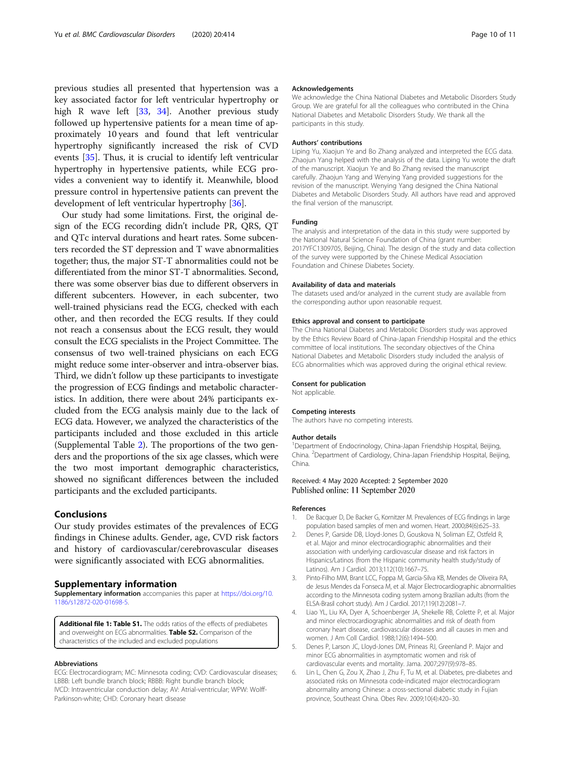<span id="page-9-0"></span>previous studies all presented that hypertension was a key associated factor for left ventricular hypertrophy or high R wave left [[33,](#page-10-0) [34\]](#page-10-0). Another previous study followed up hypertensive patients for a mean time of approximately 10 years and found that left ventricular hypertrophy significantly increased the risk of CVD events [[35\]](#page-10-0). Thus, it is crucial to identify left ventricular hypertrophy in hypertensive patients, while ECG provides a convenient way to identify it. Meanwhile, blood pressure control in hypertensive patients can prevent the development of left ventricular hypertrophy [\[36\]](#page-10-0).

Our study had some limitations. First, the original design of the ECG recording didn't include PR, QRS, QT and QTc interval durations and heart rates. Some subcenters recorded the ST depression and T wave abnormalities together; thus, the major ST-T abnormalities could not be differentiated from the minor ST-T abnormalities. Second, there was some observer bias due to different observers in different subcenters. However, in each subcenter, two well-trained physicians read the ECG, checked with each other, and then recorded the ECG results. If they could not reach a consensus about the ECG result, they would consult the ECG specialists in the Project Committee. The consensus of two well-trained physicians on each ECG might reduce some inter-observer and intra-observer bias. Third, we didn't follow up these participants to investigate the progression of ECG findings and metabolic characteristics. In addition, there were about 24% participants excluded from the ECG analysis mainly due to the lack of ECG data. However, we analyzed the characteristics of the participants included and those excluded in this article (Supplemental Table 2). The proportions of the two genders and the proportions of the six age classes, which were the two most important demographic characteristics, showed no significant differences between the included participants and the excluded participants.

#### Conclusions

Our study provides estimates of the prevalences of ECG findings in Chinese adults. Gender, age, CVD risk factors and history of cardiovascular/cerebrovascular diseases were significantly associated with ECG abnormalities.

### Supplementary information

Supplementary information accompanies this paper at [https://doi.org/10.](https://doi.org/10.1186/s12872-020-01698-5) [1186/s12872-020-01698-5](https://doi.org/10.1186/s12872-020-01698-5).

Additional file 1: Table S1. The odds ratios of the effects of prediabetes and overweight on ECG abnormalities. Table S2. Comparison of the characteristics of the included and excluded populations

#### Abbreviations

ECG: Electrocardiogram; MC: Minnesota coding; CVD: Cardiovascular diseases; LBBB: Left bundle branch block; RBBB: Right bundle branch block; IVCD: Intraventricular conduction delay; AV: Atrial-ventricular; WPW: Wolff-Parkinson-white; CHD: Coronary heart disease

#### Acknowledgements

We acknowledge the China National Diabetes and Metabolic Disorders Study Group. We are grateful for all the colleagues who contributed in the China National Diabetes and Metabolic Disorders Study. We thank all the participants in this study.

#### Authors' contributions

Liping Yu, Xiaojun Ye and Bo Zhang analyzed and interpreted the ECG data. Zhaojun Yang helped with the analysis of the data. Liping Yu wrote the draft of the manuscript. Xiaojun Ye and Bo Zhang revised the manuscript carefully. Zhaojun Yang and Wenying Yang provided suggestions for the revision of the manuscript. Wenying Yang designed the China National Diabetes and Metabolic Disorders Study. All authors have read and approved the final version of the manuscript.

#### Funding

The analysis and interpretation of the data in this study were supported by the National Natural Science Foundation of China (grant number: 2017YFC1309705, Beijing, China). The design of the study and data collection of the survey were supported by the Chinese Medical Association Foundation and Chinese Diabetes Society.

#### Availability of data and materials

The datasets used and/or analyzed in the current study are available from the corresponding author upon reasonable request.

#### Ethics approval and consent to participate

The China National Diabetes and Metabolic Disorders study was approved by the Ethics Review Board of China-Japan Friendship Hospital and the ethics committee of local institutions. The secondary objectives of the China National Diabetes and Metabolic Disorders study included the analysis of ECG abnormalities which was approved during the original ethical review.

#### Consent for publication

Not applicable.

#### Competing interests

The authors have no competing interests.

#### Author details

<sup>1</sup>Department of Endocrinology, China-Japan Friendship Hospital, Beijing, China. <sup>2</sup> Department of Cardiology, China-Japan Friendship Hospital, Beijing, China.

#### Received: 4 May 2020 Accepted: 2 September 2020 Published online: 11 September 2020

#### References

- 1. De Bacquer D, De Backer G, Kornitzer M. Prevalences of ECG findings in large population based samples of men and women. Heart. 2000;84(6):625–33.
- 2. Denes P, Garside DB, Lloyd-Jones D, Gouskova N, Soliman EZ, Ostfeld R, et al. Major and minor electrocardiographic abnormalities and their association with underlying cardiovascular disease and risk factors in Hispanics/Latinos (from the Hispanic community health study/study of Latinos). Am J Cardiol. 2013;112(10):1667–75.
- 3. Pinto-Filho MM, Brant LCC, Foppa M, Garcia-Silva KB, Mendes de Oliveira RA, de Jesus Mendes da Fonseca M, et al. Major Electrocardiographic abnormalities according to the Minnesota coding system among Brazilian adults (from the ELSA-Brasil cohort study). Am J Cardiol. 2017;119(12):2081–7.
- 4. Liao YL, Liu KA, Dyer A, Schoenberger JA, Shekelle RB, Colette P, et al. Major and minor electrocardiographic abnormalities and risk of death from coronary heart disease, cardiovascular diseases and all causes in men and women. J Am Coll Cardiol. 1988;12(6):1494–500.
- 5. Denes P, Larson JC, Lloyd-Jones DM, Prineas RJ, Greenland P. Major and minor ECG abnormalities in asymptomatic women and risk of cardiovascular events and mortality. Jama. 2007;297(9):978–85.
- 6. Lin L, Chen G, Zou X, Zhao J, Zhu F, Tu M, et al. Diabetes, pre-diabetes and associated risks on Minnesota code-indicated major electrocardiogram abnormality among Chinese: a cross-sectional diabetic study in Fujian province, Southeast China. Obes Rev. 2009;10(4):420–30.